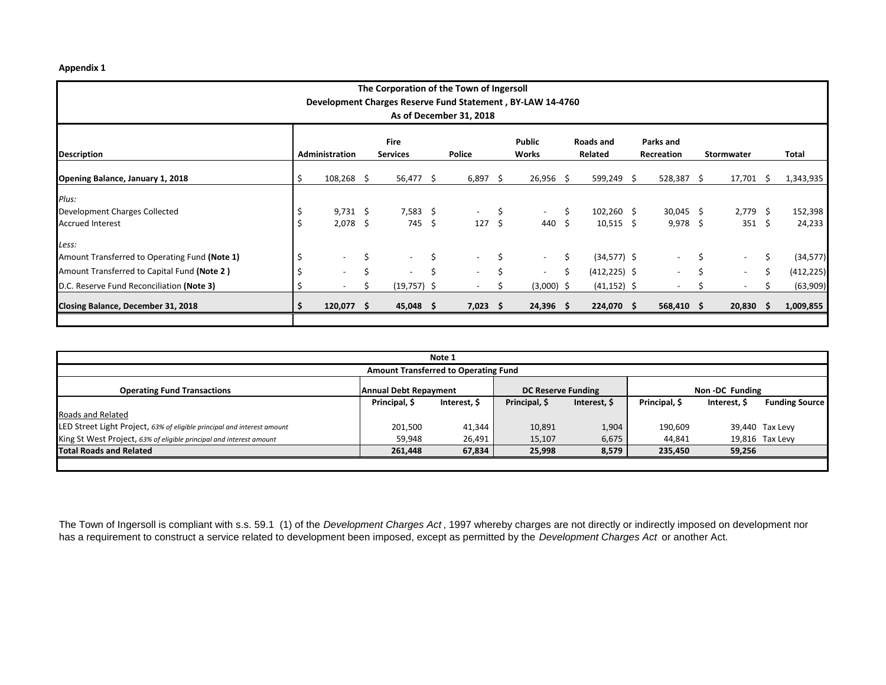## **Appendix 1**

| The Corporation of the Town of Ingersoll                                              |     |                |    |                          |    |                          |    |                          |      |                 |  |                          |   |                          |     |            |
|---------------------------------------------------------------------------------------|-----|----------------|----|--------------------------|----|--------------------------|----|--------------------------|------|-----------------|--|--------------------------|---|--------------------------|-----|------------|
| Development Charges Reserve Fund Statement, BY-LAW 14-4760<br>As of December 31, 2018 |     |                |    |                          |    |                          |    |                          |      |                 |  |                          |   |                          |     |            |
|                                                                                       |     |                |    |                          |    |                          |    |                          |      |                 |  |                          |   |                          |     |            |
|                                                                                       |     |                |    |                          |    |                          |    |                          |      |                 |  |                          |   |                          |     |            |
|                                                                                       |     |                |    | <b>Fire</b>              |    |                          |    | Public                   |      | Roads and       |  | Parks and                |   |                          |     |            |
| <b>Description</b>                                                                    |     | Administration |    | <b>Services</b>          |    | <b>Police</b>            |    | Works                    |      | Related         |  | Recreation               |   | <b>Stormwater</b>        |     | Total      |
| Opening Balance, January 1, 2018                                                      | \$. | $108,268$ \$   |    | 56,477 \$                |    | $6,897$ \$               |    | $26,956$ \$              |      | 599,249 \$      |  | 528,387 \$               |   | 17,701 \$                |     | 1,343,935  |
| Plus:                                                                                 |     |                |    |                          |    |                          |    |                          |      |                 |  |                          |   |                          |     |            |
| Development Charges Collected                                                         |     | $9,731$ \$     |    | $7,583$ \$               |    | $\sim$                   | \$ | $\sim$                   | \$   | $102,260$ \$    |  | $30,045$ \$              |   | $2,779$ \$               |     | 152,398    |
| <b>Accrued Interest</b>                                                               |     | $2,078$ \$     |    | 745 \$                   |    | 127S                     |    | 440                      | - \$ | $10,515$ \$     |  | $9,978$ \$               |   | $351 \quad $5$           |     | 24,233     |
| Less:                                                                                 |     |                |    |                          |    |                          |    |                          |      |                 |  |                          |   |                          |     |            |
| Amount Transferred to Operating Fund (Note 1)                                         |     |                | \$ | $\sim$                   | \$ | $\overline{\phantom{a}}$ | Ś  | $\overline{\phantom{a}}$ | \$   | $(34,577)$ \$   |  | $\overline{\phantom{a}}$ |   | $\sim$                   | \$  | (34, 577)  |
| Amount Transferred to Capital Fund (Note 2)                                           |     |                | Ś  | $\overline{\phantom{a}}$ | \$ | $\sim$                   |    | $\overline{\phantom{a}}$ | Ś.   | $(412, 225)$ \$ |  | $\overline{\phantom{a}}$ | Ś | $\overline{\phantom{a}}$ | \$  | (412, 225) |
| D.C. Reserve Fund Reconciliation (Note 3)                                             |     |                | \$ | $(19,757)$ \$            |    |                          |    | $(3,000)$ \$             |      | $(41, 152)$ \$  |  | $\overline{\phantom{a}}$ |   | $\overline{\phantom{a}}$ |     | (63,909)   |
| Closing Balance, December 31, 2018                                                    |     | 120,077 \$     |    | $45,048$ \$              |    | $7,023$ \$               |    | $24,396$ \$              |      | 224,070 \$      |  | 568,410 \$               |   | 20,830                   | - S | 1,009,855  |
|                                                                                       |     |                |    |                          |    |                          |    |                          |      |                 |  |                          |   |                          |     |            |

| Note 1                                                                  |                       |              |                           |              |                |              |                       |  |  |  |  |
|-------------------------------------------------------------------------|-----------------------|--------------|---------------------------|--------------|----------------|--------------|-----------------------|--|--|--|--|
| <b>Amount Transferred to Operating Fund</b>                             |                       |              |                           |              |                |              |                       |  |  |  |  |
| <b>Operating Fund Transactions</b>                                      | Annual Debt Repayment |              | <b>DC Reserve Funding</b> |              | Non-DC Funding |              |                       |  |  |  |  |
|                                                                         | Principal, \$         | Interest, \$ | Principal, \$             | Interest, \$ | Principal, \$  | Interest, \$ | <b>Funding Source</b> |  |  |  |  |
| Roads and Related                                                       |                       |              |                           |              |                |              |                       |  |  |  |  |
| LED Street Light Project, 63% of eligible principal and interest amount | 201,500               | 41,344       | 10,891                    | 1,904        | 190,609        |              | 39,440 Tax Levy       |  |  |  |  |
| King St West Project, 63% of eligible principal and interest amount     | 59.948                | 26,491       | 15,107                    | 6,675        | 44.841         |              | 19,816 Tax Levy       |  |  |  |  |
| <b>Total Roads and Related</b>                                          | 261,448               | 67,834       | 25,998                    | 8,579        | 235,450        | 59,256       |                       |  |  |  |  |
|                                                                         |                       |              |                           |              |                |              |                       |  |  |  |  |

The Town of Ingersoll is compliant with s.s. 59.1 (1) of the *Development Charges Act* , 1997 whereby charges are not directly or indirectly imposed on development nor has a requirement to construct a service related to development been imposed, except as permitted by the *Development Charges Act* or another Act.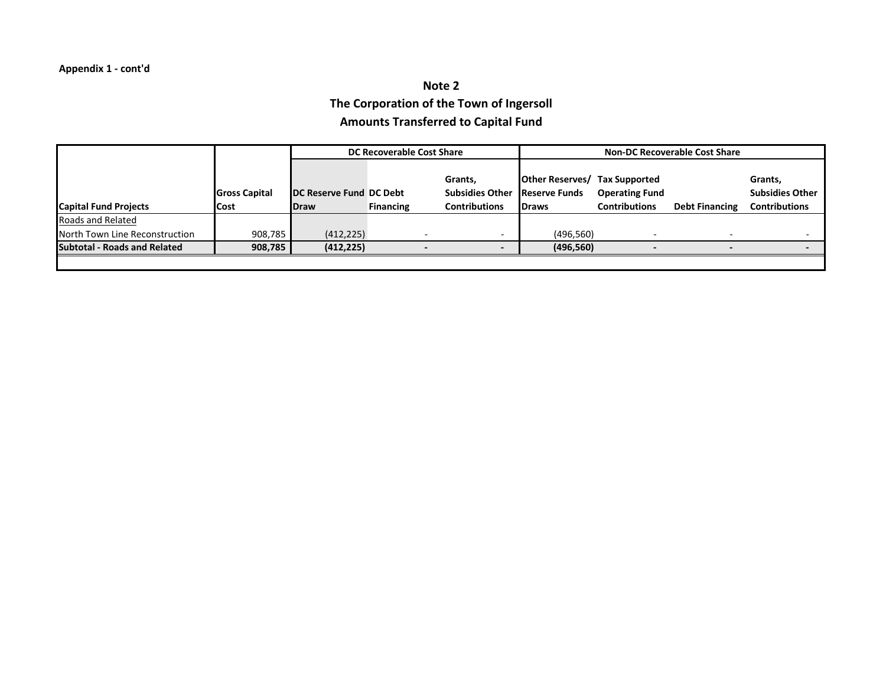## **Note 2 The Corporation of the Town of Ingersoll Amounts Transferred to Capital Fund**

|                                     |                      |                         | DC Recoverable Cost Share |                        | <b>Non-DC Recoverable Cost Share</b> |                       |                       |                        |  |  |  |  |
|-------------------------------------|----------------------|-------------------------|---------------------------|------------------------|--------------------------------------|-----------------------|-----------------------|------------------------|--|--|--|--|
|                                     |                      |                         |                           |                        |                                      |                       |                       |                        |  |  |  |  |
|                                     |                      |                         |                           | Grants,                | <b>Other Reserves/ Tax Supported</b> |                       |                       | Grants,                |  |  |  |  |
|                                     | <b>Gross Capital</b> | DC Reserve Fund DC Debt |                           | <b>Subsidies Other</b> | <b>Reserve Funds</b>                 | <b>Operating Fund</b> |                       | <b>Subsidies Other</b> |  |  |  |  |
| <b>Capital Fund Projects</b>        | <b>Cost</b>          | <b>IDraw</b>            | <b>Financing</b>          | <b>Contributions</b>   | <b>IDraws</b>                        | <b>Contributions</b>  | <b>Debt Financing</b> | <b>Contributions</b>   |  |  |  |  |
| Roads and Related                   |                      |                         |                           |                        |                                      |                       |                       |                        |  |  |  |  |
| North Town Line Reconstruction      | 908,785              | (412, 225)              |                           |                        | (496, 560)                           |                       |                       |                        |  |  |  |  |
| <b>Subtotal - Roads and Related</b> | 908,785              | (412, 225)              |                           |                        | (496, 560)                           |                       |                       |                        |  |  |  |  |
|                                     |                      |                         |                           |                        |                                      |                       |                       |                        |  |  |  |  |